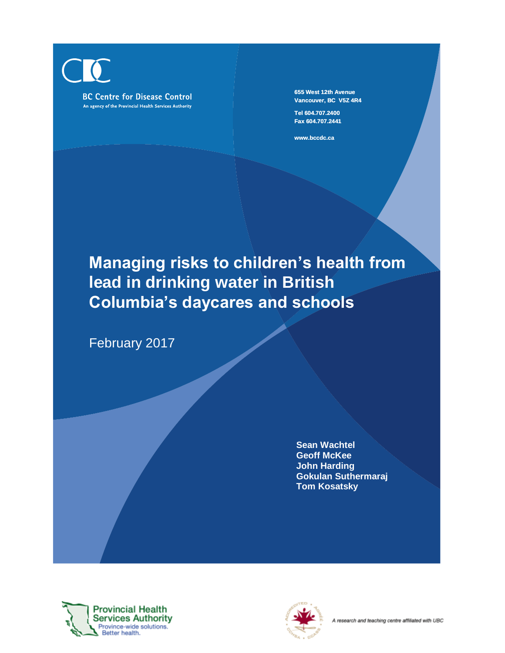**655 West 12th Avenue Vancouver, BC V5Z 4R4 Tel 604.707.2400 Fax 604.707.2441**

**www.bccdc.ca**

# **Managing risks to children's health from lead in drinking water in British Columbia's daycares and schools**

February 2017

**Sean Wachtel Geoff McKee John Harding Gokulan Suthermaraj Tom Kosatsky**



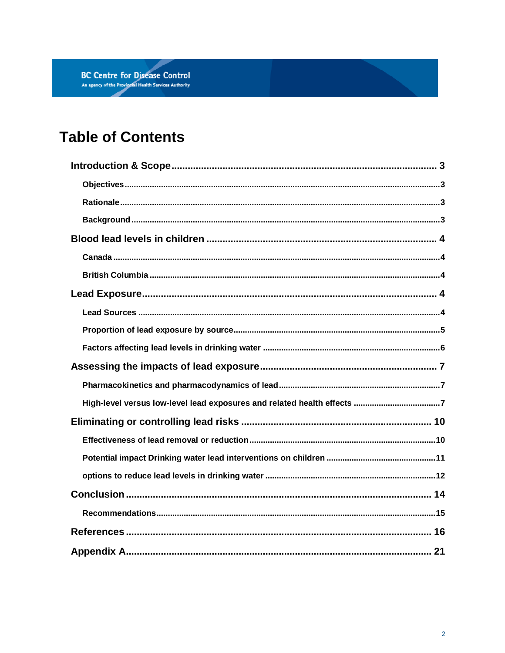# **Table of Contents**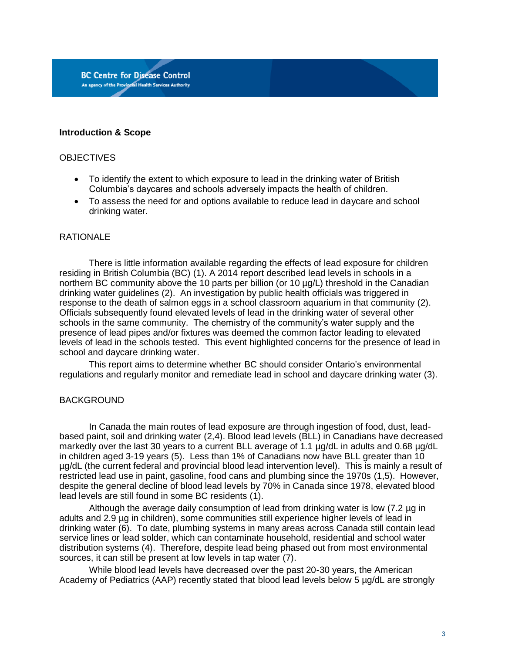#### **Introduction & Scope**

#### **OBJECTIVES**

- To identify the extent to which exposure to lead in the drinking water of British Columbia's daycares and schools adversely impacts the health of children.
- To assess the need for and options available to reduce lead in daycare and school drinking water.

#### **RATIONALE**

There is little information available regarding the effects of lead exposure for children residing in British Columbia (BC) (1). A 2014 report described lead levels in schools in a northern BC community above the 10 parts per billion (or 10 µg/L) threshold in the Canadian drinking water guidelines (2). An investigation by public health officials was triggered in response to the death of salmon eggs in a school classroom aquarium in that community (2). Officials subsequently found elevated levels of lead in the drinking water of several other schools in the same community. The chemistry of the community's water supply and the presence of lead pipes and/or fixtures was deemed the common factor leading to elevated levels of lead in the schools tested. This event highlighted concerns for the presence of lead in school and daycare drinking water.

This report aims to determine whether BC should consider Ontario's environmental regulations and regularly monitor and remediate lead in school and daycare drinking water (3).

#### BACKGROUND

In Canada the main routes of lead exposure are through ingestion of food, dust, leadbased paint, soil and drinking water (2,4). Blood lead levels (BLL) in Canadians have decreased markedly over the last 30 years to a current BLL average of 1.1 µg/dL in adults and 0.68 µg/dL in children aged 3-19 years (5). Less than 1% of Canadians now have BLL greater than 10 µg/dL (the current federal and provincial blood lead intervention level). This is mainly a result of restricted lead use in paint, gasoline, food cans and plumbing since the 1970s (1,5). However, despite the general decline of blood lead levels by 70% in Canada since 1978, elevated blood lead levels are still found in some BC residents (1).

Although the average daily consumption of lead from drinking water is low (7.2 µg in adults and 2.9 µg in children), some communities still experience higher levels of lead in drinking water (6). To date, plumbing systems in many areas across Canada still contain lead service lines or lead solder, which can contaminate household, residential and school water distribution systems (4). Therefore, despite lead being phased out from most environmental sources, it can still be present at low levels in tap water (7).

While blood lead levels have decreased over the past 20-30 years, the American Academy of Pediatrics (AAP) recently stated that blood lead levels below 5 µg/dL are strongly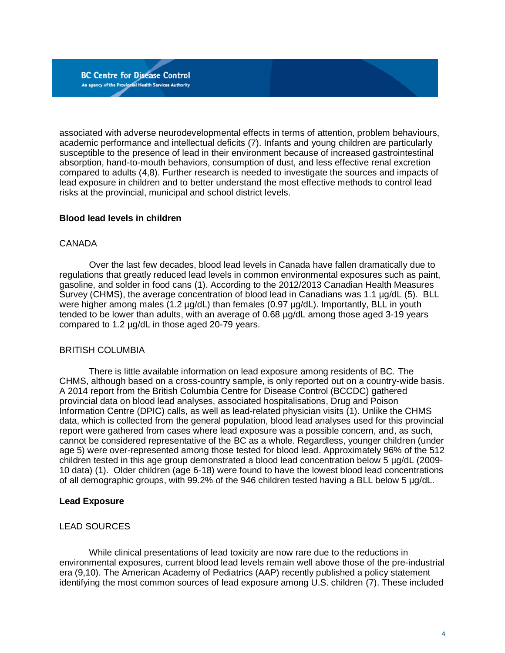associated with adverse neurodevelopmental effects in terms of attention, problem behaviours, academic performance and intellectual deficits (7). Infants and young children are particularly susceptible to the presence of lead in their environment because of increased gastrointestinal absorption, hand-to-mouth behaviors, consumption of dust, and less effective renal excretion compared to adults (4,8). Further research is needed to investigate the sources and impacts of lead exposure in children and to better understand the most effective methods to control lead risks at the provincial, municipal and school district levels.

#### **Blood lead levels in children**

#### CANADA

Over the last few decades, blood lead levels in Canada have fallen dramatically due to regulations that greatly reduced lead levels in common environmental exposures such as paint, gasoline, and solder in food cans (1). According to the 2012/2013 Canadian Health Measures Survey (CHMS), the average concentration of blood lead in Canadians was 1.1 µg/dL (5). BLL were higher among males (1.2 µg/dL) than females (0.97 µg/dL). Importantly, BLL in youth tended to be lower than adults, with an average of 0.68 µg/dL among those aged 3-19 years compared to 1.2 µg/dL in those aged 20-79 years.

#### BRITISH COLUMBIA

There is little available information on lead exposure among residents of BC. The CHMS, although based on a cross-country sample, is only reported out on a country-wide basis. A 2014 report from the British Columbia Centre for Disease Control (BCCDC) gathered provincial data on blood lead analyses, associated hospitalisations, Drug and Poison Information Centre (DPIC) calls, as well as lead-related physician visits (1). Unlike the CHMS data, which is collected from the general population, blood lead analyses used for this provincial report were gathered from cases where lead exposure was a possible concern, and, as such, cannot be considered representative of the BC as a whole. Regardless, younger children (under age 5) were over-represented among those tested for blood lead. Approximately 96% of the 512 children tested in this age group demonstrated a blood lead concentration below 5 µg/dL (2009- 10 data) (1). Older children (age 6-18) were found to have the lowest blood lead concentrations of all demographic groups, with 99.2% of the 946 children tested having a BLL below 5 µg/dL.

#### **Lead Exposure**

#### LEAD SOURCES

While clinical presentations of lead toxicity are now rare due to the reductions in environmental exposures, current blood lead levels remain well above those of the pre-industrial era (9,10). The American Academy of Pediatrics (AAP) recently published a policy statement identifying the most common sources of lead exposure among U.S. children (7). These included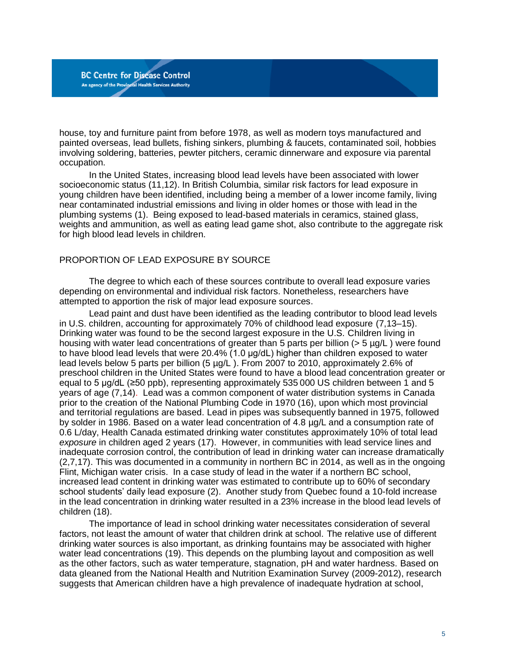house, toy and furniture paint from before 1978, as well as modern toys manufactured and painted overseas, lead bullets, fishing sinkers, plumbing & faucets, contaminated soil, hobbies involving soldering, batteries, pewter pitchers, ceramic dinnerware and exposure via parental occupation.

In the United States, increasing blood lead levels have been associated with lower socioeconomic status (11,12). In British Columbia, similar risk factors for lead exposure in young children have been identified, including being a member of a lower income family, living near contaminated industrial emissions and living in older homes or those with lead in the plumbing systems (1). Being exposed to lead-based materials in ceramics, stained glass, weights and ammunition, as well as eating lead game shot, also contribute to the aggregate risk for high blood lead levels in children.

#### PROPORTION OF LEAD EXPOSURE BY SOURCE

**BC Centre for Disease Control** An agency of the Provincial Health Services Authority

The degree to which each of these sources contribute to overall lead exposure varies depending on environmental and individual risk factors. Nonetheless, researchers have attempted to apportion the risk of major lead exposure sources.

Lead paint and dust have been identified as the leading contributor to blood lead levels in U.S. children, accounting for approximately 70% of childhood lead exposure (7,13–15). Drinking water was found to be the second largest exposure in the U.S. Children living in housing with water lead concentrations of greater than 5 parts per billion (> 5 µg/L) were found to have blood lead levels that were 20.4% (1.0 μg/dL) higher than children exposed to water lead levels below 5 parts per billion (5 µg/L ). From 2007 to 2010, approximately 2.6% of preschool children in the United States were found to have a blood lead concentration greater or equal to 5 µg/dL (≥50 ppb), representing approximately 535 000 US children between 1 and 5 years of age (7,14). Lead was a common component of water distribution systems in Canada prior to the creation of the National Plumbing Code in 1970 (16), upon which most provincial and territorial regulations are based. Lead in pipes was subsequently banned in 1975, followed by solder in 1986. Based on a water lead concentration of 4.8 µg/L and a consumption rate of 0.6 L/day, Health Canada estimated drinking water constitutes approximately 10% of total lead *exposure* in children aged 2 years (17). However, in communities with lead service lines and inadequate corrosion control, the contribution of lead in drinking water can increase dramatically (2,7,17). This was documented in a community in northern BC in 2014, as well as in the ongoing Flint, Michigan water crisis. In a case study of lead in the water if a northern BC school, increased lead content in drinking water was estimated to contribute up to 60% of secondary school students' daily lead exposure (2). Another study from Quebec found a 10-fold increase in the lead concentration in drinking water resulted in a 23% increase in the blood lead levels of children (18).

The importance of lead in school drinking water necessitates consideration of several factors, not least the amount of water that children drink at school. The relative use of different drinking water sources is also important, as drinking fountains may be associated with higher water lead concentrations (19). This depends on the plumbing layout and composition as well as the other factors, such as water temperature, stagnation, pH and water hardness. Based on data gleaned from the National Health and Nutrition Examination Survey (2009-2012), research suggests that American children have a high prevalence of inadequate hydration at school,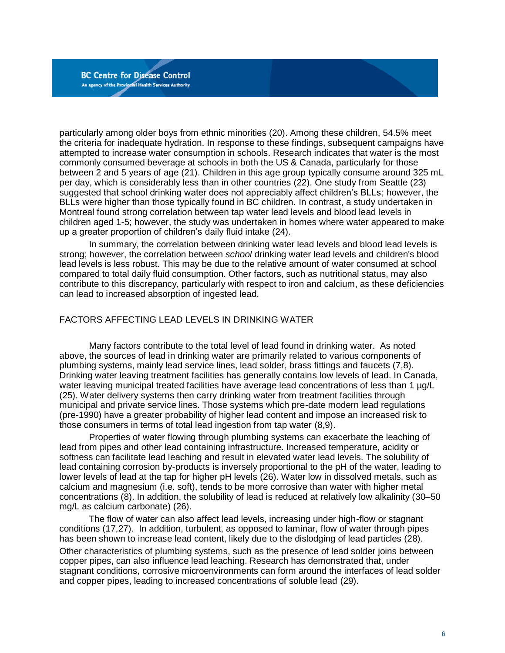particularly among older boys from ethnic minorities (20). Among these children, 54.5% meet the criteria for inadequate hydration. In response to these findings, subsequent campaigns have attempted to increase water consumption in schools. Research indicates that water is the most commonly consumed beverage at schools in both the US & Canada, particularly for those between 2 and 5 years of age (21). Children in this age group typically consume around 325 mL per day, which is considerably less than in other countries (22). One study from Seattle (23) suggested that school drinking water does not appreciably affect children's BLLs; however, the BLLs were higher than those typically found in BC children. In contrast, a study undertaken in Montreal found strong correlation between tap water lead levels and blood lead levels in children aged 1-5; however, the study was undertaken in homes where water appeared to make up a greater proportion of children's daily fluid intake (24).

In summary, the correlation between drinking water lead levels and blood lead levels is strong; however, the correlation between *school* drinking water lead levels and children's blood lead levels is less robust. This may be due to the relative amount of water consumed at school compared to total daily fluid consumption. Other factors, such as nutritional status, may also contribute to this discrepancy, particularly with respect to iron and calcium, as these deficiencies can lead to increased absorption of ingested lead.

#### FACTORS AFFECTING LEAD LEVELS IN DRINKING WATER

Many factors contribute to the total level of lead found in drinking water. As noted above, the sources of lead in drinking water are primarily related to various components of plumbing systems, mainly lead service lines, lead solder, brass fittings and faucets (7,8). Drinking water leaving treatment facilities has generally contains low levels of lead. In Canada, water leaving municipal treated facilities have average lead concentrations of less than 1 µg/L (25). Water delivery systems then carry drinking water from treatment facilities through municipal and private service lines. Those systems which pre-date modern lead regulations (pre-1990) have a greater probability of higher lead content and impose an increased risk to those consumers in terms of total lead ingestion from tap water (8,9).

Properties of water flowing through plumbing systems can exacerbate the leaching of lead from pipes and other lead containing infrastructure. Increased temperature, acidity or softness can facilitate lead leaching and result in elevated water lead levels. The solubility of lead containing corrosion by-products is inversely proportional to the pH of the water, leading to lower levels of lead at the tap for higher pH levels (26). Water low in dissolved metals, such as calcium and magnesium (i.e. soft), tends to be more corrosive than water with higher metal concentrations (8). In addition, the solubility of lead is reduced at relatively low alkalinity (30–50 mg/L as calcium carbonate) (26).

The flow of water can also affect lead levels, increasing under high-flow or stagnant conditions (17,27). In addition, turbulent, as opposed to laminar, flow of water through pipes has been shown to increase lead content, likely due to the dislodging of lead particles (28).

Other characteristics of plumbing systems, such as the presence of lead solder joins between copper pipes, can also influence lead leaching. Research has demonstrated that, under stagnant conditions, corrosive microenvironments can form around the interfaces of lead solder and copper pipes, leading to increased concentrations of soluble lead (29).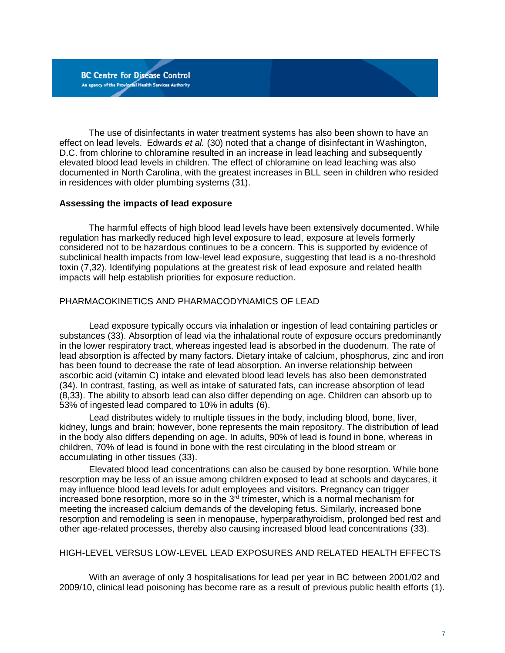The use of disinfectants in water treatment systems has also been shown to have an effect on lead levels. Edwards *et al.* (30) noted that a change of disinfectant in Washington, D.C. from chlorine to chloramine resulted in an increase in lead leaching and subsequently elevated blood lead levels in children. The effect of chloramine on lead leaching was also documented in North Carolina, with the greatest increases in BLL seen in children who resided in residences with older plumbing systems (31).

#### **Assessing the impacts of lead exposure**

The harmful effects of high blood lead levels have been extensively documented. While regulation has markedly reduced high level exposure to lead, exposure at levels formerly considered not to be hazardous continues to be a concern. This is supported by evidence of subclinical health impacts from low-level lead exposure, suggesting that lead is a no-threshold toxin (7,32). Identifying populations at the greatest risk of lead exposure and related health impacts will help establish priorities for exposure reduction.

#### PHARMACOKINETICS AND PHARMACODYNAMICS OF LEAD

Lead exposure typically occurs via inhalation or ingestion of lead containing particles or substances (33). Absorption of lead via the inhalational route of exposure occurs predominantly in the lower respiratory tract, whereas ingested lead is absorbed in the duodenum. The rate of lead absorption is affected by many factors. Dietary intake of calcium, phosphorus, zinc and iron has been found to decrease the rate of lead absorption. An inverse relationship between ascorbic acid (vitamin C) intake and elevated blood lead levels has also been demonstrated (34). In contrast, fasting, as well as intake of saturated fats, can increase absorption of lead (8,33). The ability to absorb lead can also differ depending on age. Children can absorb up to 53% of ingested lead compared to 10% in adults (6).

Lead distributes widely to multiple tissues in the body, including blood, bone, liver, kidney, lungs and brain; however, bone represents the main repository. The distribution of lead in the body also differs depending on age. In adults, 90% of lead is found in bone, whereas in children, 70% of lead is found in bone with the rest circulating in the blood stream or accumulating in other tissues (33).

Elevated blood lead concentrations can also be caused by bone resorption. While bone resorption may be less of an issue among children exposed to lead at schools and daycares, it may influence blood lead levels for adult employees and visitors. Pregnancy can trigger increased bone resorption, more so in the  $3<sup>rd</sup>$  trimester, which is a normal mechanism for meeting the increased calcium demands of the developing fetus. Similarly, increased bone resorption and remodeling is seen in menopause, hyperparathyroidism, prolonged bed rest and other age-related processes, thereby also causing increased blood lead concentrations (33).

#### HIGH-LEVEL VERSUS LOW-LEVEL LEAD EXPOSURES AND RELATED HEALTH EFFECTS

With an average of only 3 hospitalisations for lead per year in BC between 2001/02 and 2009/10, clinical lead poisoning has become rare as a result of previous public health efforts (1).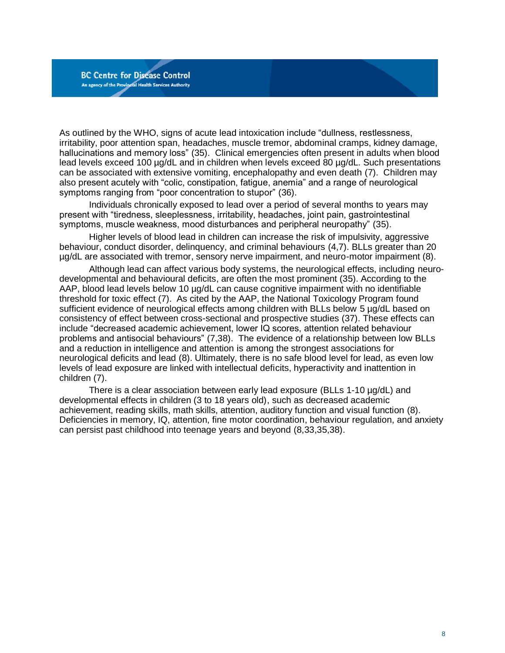As outlined by the WHO, signs of acute lead intoxication include "dullness, restlessness, irritability, poor attention span, headaches, muscle tremor, abdominal cramps, kidney damage, hallucinations and memory loss" (35). Clinical emergencies often present in adults when blood lead levels exceed 100 µg/dL and in children when levels exceed 80 µg/dL. Such presentations can be associated with extensive vomiting, encephalopathy and even death (7). Children may also present acutely with "colic, constipation, fatigue, anemia" and a range of neurological symptoms ranging from "poor concentration to stupor" (36).

Individuals chronically exposed to lead over a period of several months to years may present with "tiredness, sleeplessness, irritability, headaches, joint pain, gastrointestinal symptoms, muscle weakness, mood disturbances and peripheral neuropathy" (35).

Higher levels of blood lead in children can increase the risk of impulsivity, aggressive behaviour, conduct disorder, delinquency, and criminal behaviours (4,7). BLLs greater than 20 µg/dL are associated with tremor, sensory nerve impairment, and neuro-motor impairment (8).

Although lead can affect various body systems, the neurological effects, including neurodevelopmental and behavioural deficits, are often the most prominent (35). According to the AAP, blood lead levels below 10 µg/dL can cause cognitive impairment with no identifiable threshold for toxic effect (7). As cited by the AAP, the National Toxicology Program found sufficient evidence of neurological effects among children with BLLs below 5 µg/dL based on consistency of effect between cross-sectional and prospective studies (37). These effects can include "decreased academic achievement, lower IQ scores, attention related behaviour problems and antisocial behaviours" (7,38). The evidence of a relationship between low BLLs and a reduction in intelligence and attention is among the strongest associations for neurological deficits and lead (8). Ultimately, there is no safe blood level for lead, as even low levels of lead exposure are linked with intellectual deficits, hyperactivity and inattention in children (7).

There is a clear association between early lead exposure (BLLs 1-10 µg/dL) and developmental effects in children (3 to 18 years old), such as decreased academic achievement, reading skills, math skills, attention, auditory function and visual function (8). Deficiencies in memory, IQ, attention, fine motor coordination, behaviour regulation, and anxiety can persist past childhood into teenage years and beyond (8,33,35,38).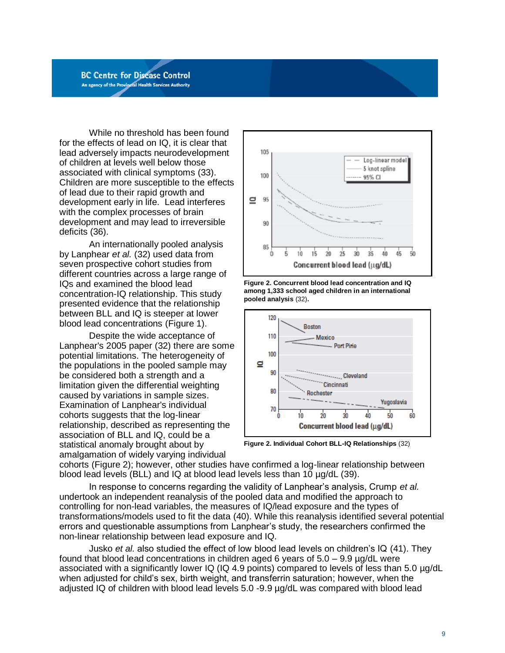While no threshold has been found for the effects of lead on IQ, it is clear that lead adversely impacts neurodevelopment of children at levels well below those associated with clinical symptoms (33). Children are more susceptible to the effects of lead due to their rapid growth and development early in life. Lead interferes with the complex processes of brain development and may lead to irreversible deficits (36).

An internationally pooled analysis by Lanphear *et al.* (32) used data from seven prospective cohort studies from different countries across a large range of IQs and examined the blood lead concentration-IQ relationship. This study presented evidence that the relationship between BLL and IQ is steeper at lower blood lead concentrations (Figure 1).

Despite the wide acceptance of Lanphear's 2005 paper (32) there are some potential limitations. The heterogeneity of the populations in the pooled sample may be considered both a strength and a limitation given the differential weighting caused by variations in sample sizes. Examination of Lanphear's individual cohorts suggests that the log-linear relationship, described as representing the association of BLL and IQ, could be a statistical anomaly brought about by amalgamation of widely varying individual







**Figure 2. Individual Cohort BLL-IQ Relationships** (32)

cohorts (Figure 2); however, other studies have confirmed a log-linear relationship between blood lead levels (BLL) and IQ at blood lead levels less than 10 µg/dL (39).

In response to concerns regarding the validity of Lanphear's analysis, Crump *et al.* undertook an independent reanalysis of the pooled data and modified the approach to controlling for non-lead variables, the measures of IQ/lead exposure and the types of transformations/models used to fit the data (40). While this reanalysis identified several potential errors and questionable assumptions from Lanphear's study, the researchers confirmed the non-linear relationship between lead exposure and IQ.

Jusko *et al.* also studied the effect of low blood lead levels on children's IQ (41). They found that blood lead concentrations in children aged 6 years of 5.0 – 9.9 µg/dL were associated with a significantly lower IQ (IQ 4.9 points) compared to levels of less than 5.0 ug/dL when adjusted for child's sex, birth weight, and transferrin saturation; however, when the adjusted IQ of children with blood lead levels 5.0 -9.9 µg/dL was compared with blood lead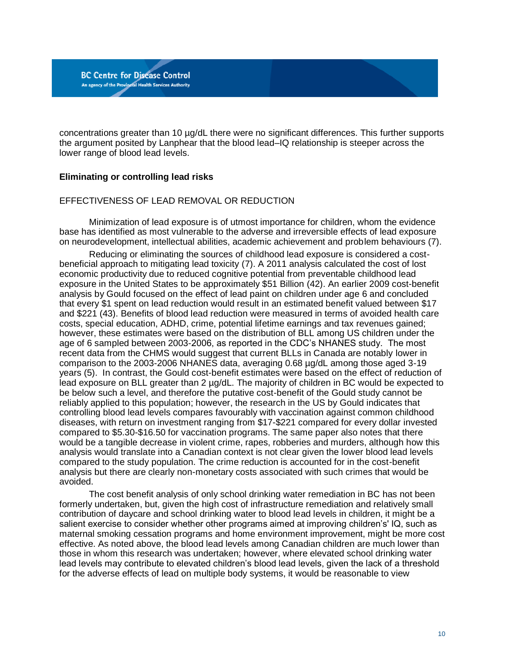concentrations greater than 10 µg/dL there were no significant differences. This further supports the argument posited by Lanphear that the blood lead–IQ relationship is steeper across the lower range of blood lead levels.

## **Eliminating or controlling lead risks**

**BC Centre for Disease Control** An agency of the Provincial Health Services Authority

#### EFFECTIVENESS OF LEAD REMOVAL OR REDUCTION

Minimization of lead exposure is of utmost importance for children, whom the evidence base has identified as most vulnerable to the adverse and irreversible effects of lead exposure on neurodevelopment, intellectual abilities, academic achievement and problem behaviours (7).

Reducing or eliminating the sources of childhood lead exposure is considered a costbeneficial approach to mitigating lead toxicity (7). A 2011 analysis calculated the cost of lost economic productivity due to reduced cognitive potential from preventable childhood lead exposure in the United States to be approximately \$51 Billion (42). An earlier 2009 cost-benefit analysis by Gould focused on the effect of lead paint on children under age 6 and concluded that every \$1 spent on lead reduction would result in an estimated benefit valued between \$17 and \$221 (43). Benefits of blood lead reduction were measured in terms of avoided health care costs, special education, ADHD, crime, potential lifetime earnings and tax revenues gained; however, these estimates were based on the distribution of BLL among US children under the age of 6 sampled between 2003-2006, as reported in the CDC's NHANES study. The most recent data from the CHMS would suggest that current BLLs in Canada are notably lower in comparison to the 2003-2006 NHANES data, averaging 0.68 µg/dL among those aged 3-19 years (5). In contrast, the Gould cost-benefit estimates were based on the effect of reduction of lead exposure on BLL greater than 2 ug/dL. The majority of children in BC would be expected to be below such a level, and therefore the putative cost-benefit of the Gould study cannot be reliably applied to this population; however, the research in the US by Gould indicates that controlling blood lead levels compares favourably with vaccination against common childhood diseases, with return on investment ranging from \$17-\$221 compared for every dollar invested compared to \$5.30-\$16.50 for vaccination programs. The same paper also notes that there would be a tangible decrease in violent crime, rapes, robberies and murders, although how this analysis would translate into a Canadian context is not clear given the lower blood lead levels compared to the study population. The crime reduction is accounted for in the cost-benefit analysis but there are clearly non-monetary costs associated with such crimes that would be avoided.

The cost benefit analysis of only school drinking water remediation in BC has not been formerly undertaken, but, given the high cost of infrastructure remediation and relatively small contribution of daycare and school drinking water to blood lead levels in children, it might be a salient exercise to consider whether other programs aimed at improving children's' IQ, such as maternal smoking cessation programs and home environment improvement, might be more cost effective. As noted above, the blood lead levels among Canadian children are much lower than those in whom this research was undertaken; however, where elevated school drinking water lead levels may contribute to elevated children's blood lead levels, given the lack of a threshold for the adverse effects of lead on multiple body systems, it would be reasonable to view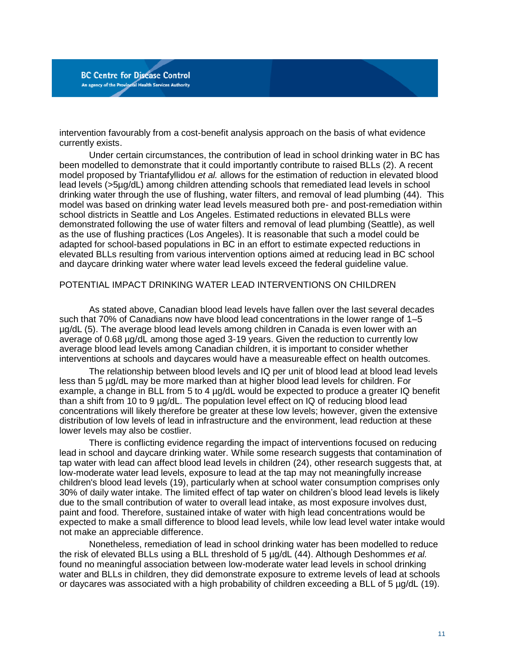intervention favourably from a cost-benefit analysis approach on the basis of what evidence currently exists.

Under certain circumstances, the contribution of lead in school drinking water in BC has been modelled to demonstrate that it could importantly contribute to raised BLLs (2). A recent model proposed by Triantafyllidou *et al.* allows for the estimation of reduction in elevated blood lead levels (>5µg/dL) among children attending schools that remediated lead levels in school drinking water through the use of flushing, water filters, and removal of lead plumbing (44). This model was based on drinking water lead levels measured both pre- and post-remediation within school districts in Seattle and Los Angeles. Estimated reductions in elevated BLLs were demonstrated following the use of water filters and removal of lead plumbing (Seattle), as well as the use of flushing practices (Los Angeles). It is reasonable that such a model could be adapted for school-based populations in BC in an effort to estimate expected reductions in elevated BLLs resulting from various intervention options aimed at reducing lead in BC school and daycare drinking water where water lead levels exceed the federal guideline value.

#### POTENTIAL IMPACT DRINKING WATER LEAD INTERVENTIONS ON CHILDREN

As stated above, Canadian blood lead levels have fallen over the last several decades such that 70% of Canadians now have blood lead concentrations in the lower range of 1–5 µg/dL (5). The average blood lead levels among children in Canada is even lower with an average of 0.68 µg/dL among those aged 3-19 years. Given the reduction to currently low average blood lead levels among Canadian children, it is important to consider whether interventions at schools and daycares would have a measureable effect on health outcomes.

The relationship between blood levels and IQ per unit of blood lead at blood lead levels less than 5 µg/dL may be more marked than at higher blood lead levels for children. For example, a change in BLL from 5 to 4 µg/dL would be expected to produce a greater IQ benefit than a shift from 10 to 9 µg/dL. The population level effect on IQ of reducing blood lead concentrations will likely therefore be greater at these low levels; however, given the extensive distribution of low levels of lead in infrastructure and the environment, lead reduction at these lower levels may also be costlier.

There is conflicting evidence regarding the impact of interventions focused on reducing lead in school and daycare drinking water. While some research suggests that contamination of tap water with lead can affect blood lead levels in children (24), other research suggests that, at low-moderate water lead levels, exposure to lead at the tap may not meaningfully increase children's blood lead levels (19), particularly when at school water consumption comprises only 30% of daily water intake. The limited effect of tap water on children's blood lead levels is likely due to the small contribution of water to overall lead intake, as most exposure involves dust, paint and food. Therefore, sustained intake of water with high lead concentrations would be expected to make a small difference to blood lead levels, while low lead level water intake would not make an appreciable difference.

Nonetheless, remediation of lead in school drinking water has been modelled to reduce the risk of elevated BLLs using a BLL threshold of 5 µg/dL (44). Although Deshommes *et al.* found no meaningful association between low-moderate water lead levels in school drinking water and BLLs in children, they did demonstrate exposure to extreme levels of lead at schools or daycares was associated with a high probability of children exceeding a BLL of 5 µg/dL (19).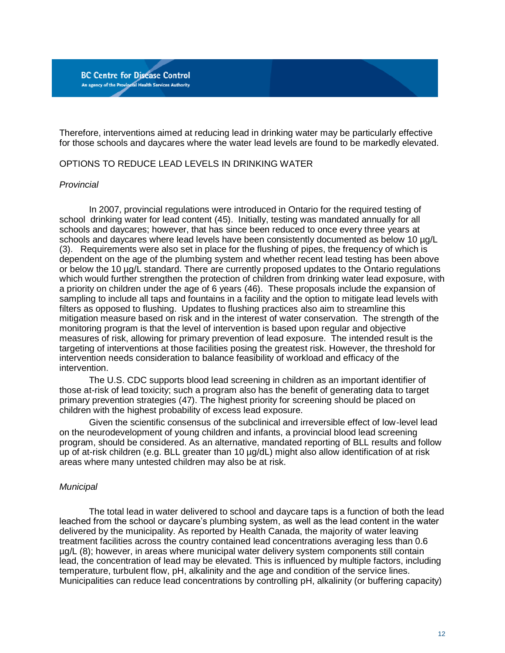Therefore, interventions aimed at reducing lead in drinking water may be particularly effective for those schools and daycares where the water lead levels are found to be markedly elevated.

#### OPTIONS TO REDUCE LEAD LEVELS IN DRINKING WATER

#### *Provincial*

In 2007, provincial regulations were introduced in Ontario for the required testing of school drinking water for lead content (45). Initially, testing was mandated annually for all schools and daycares; however, that has since been reduced to once every three years at schools and daycares where lead levels have been consistently documented as below 10 ug/L (3). Requirements were also set in place for the flushing of pipes, the frequency of which is dependent on the age of the plumbing system and whether recent lead testing has been above or below the 10 µg/L standard. There are currently proposed updates to the Ontario regulations which would further strengthen the protection of children from drinking water lead exposure, with a priority on children under the age of 6 years (46). These proposals include the expansion of sampling to include all taps and fountains in a facility and the option to mitigate lead levels with filters as opposed to flushing. Updates to flushing practices also aim to streamline this mitigation measure based on risk and in the interest of water conservation. The strength of the monitoring program is that the level of intervention is based upon regular and objective measures of risk, allowing for primary prevention of lead exposure. The intended result is the targeting of interventions at those facilities posing the greatest risk. However, the threshold for intervention needs consideration to balance feasibility of workload and efficacy of the intervention.

The U.S. CDC supports blood lead screening in children as an important identifier of those at-risk of lead toxicity; such a program also has the benefit of generating data to target primary prevention strategies (47). The highest priority for screening should be placed on children with the highest probability of excess lead exposure.

Given the scientific consensus of the subclinical and irreversible effect of low-level lead on the neurodevelopment of young children and infants, a provincial blood lead screening program, should be considered. As an alternative, mandated reporting of BLL results and follow up of at-risk children (e.g. BLL greater than 10 µg/dL) might also allow identification of at risk areas where many untested children may also be at risk.

#### *Municipal*

The total lead in water delivered to school and daycare taps is a function of both the lead leached from the school or daycare's plumbing system, as well as the lead content in the water delivered by the municipality. As reported by Health Canada, the majority of water leaving treatment facilities across the country contained lead concentrations averaging less than 0.6 µg/L (8); however, in areas where municipal water delivery system components still contain lead, the concentration of lead may be elevated. This is influenced by multiple factors, including temperature, turbulent flow, pH, alkalinity and the age and condition of the service lines. Municipalities can reduce lead concentrations by controlling pH, alkalinity (or buffering capacity)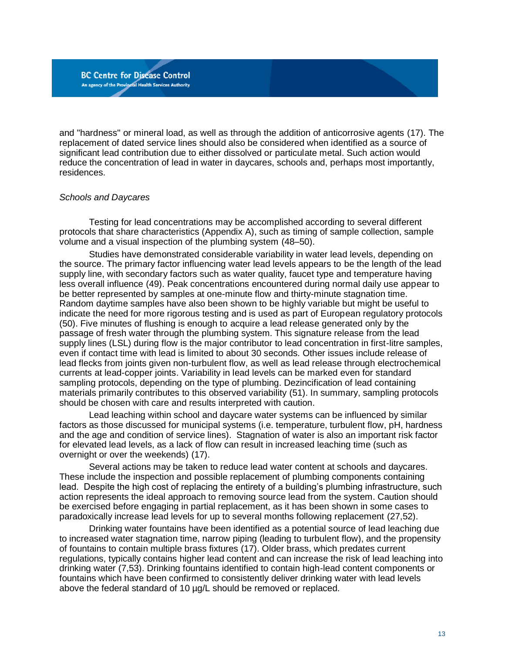and "hardness" or mineral load, as well as through the addition of anticorrosive agents (17). The replacement of dated service lines should also be considered when identified as a source of significant lead contribution due to either dissolved or particulate metal. Such action would reduce the concentration of lead in water in daycares, schools and, perhaps most importantly, residences.

#### *Schools and Daycares*

Testing for lead concentrations may be accomplished according to several different protocols that share characteristics (Appendix A), such as timing of sample collection, sample volume and a visual inspection of the plumbing system (48–50).

Studies have demonstrated considerable variability in water lead levels, depending on the source. The primary factor influencing water lead levels appears to be the length of the lead supply line, with secondary factors such as water quality, faucet type and temperature having less overall influence (49). Peak concentrations encountered during normal daily use appear to be better represented by samples at one-minute flow and thirty-minute stagnation time. Random daytime samples have also been shown to be highly variable but might be useful to indicate the need for more rigorous testing and is used as part of European regulatory protocols (50). Five minutes of flushing is enough to acquire a lead release generated only by the passage of fresh water through the plumbing system. This signature release from the lead supply lines (LSL) during flow is the major contributor to lead concentration in first-litre samples, even if contact time with lead is limited to about 30 seconds. Other issues include release of lead flecks from joints given non-turbulent flow, as well as lead release through electrochemical currents at lead-copper joints. Variability in lead levels can be marked even for standard sampling protocols, depending on the type of plumbing. Dezincification of lead containing materials primarily contributes to this observed variability (51). In summary, sampling protocols should be chosen with care and results interpreted with caution.

Lead leaching within school and daycare water systems can be influenced by similar factors as those discussed for municipal systems (i.e. temperature, turbulent flow, pH, hardness and the age and condition of service lines). Stagnation of water is also an important risk factor for elevated lead levels, as a lack of flow can result in increased leaching time (such as overnight or over the weekends) (17).

Several actions may be taken to reduce lead water content at schools and daycares. These include the inspection and possible replacement of plumbing components containing lead. Despite the high cost of replacing the entirety of a building's plumbing infrastructure, such action represents the ideal approach to removing source lead from the system. Caution should be exercised before engaging in partial replacement, as it has been shown in some cases to paradoxically increase lead levels for up to several months following replacement (27,52).

Drinking water fountains have been identified as a potential source of lead leaching due to increased water stagnation time, narrow piping (leading to turbulent flow), and the propensity of fountains to contain multiple brass fixtures (17). Older brass, which predates current regulations, typically contains higher lead content and can increase the risk of lead leaching into drinking water (7,53). Drinking fountains identified to contain high-lead content components or fountains which have been confirmed to consistently deliver drinking water with lead levels above the federal standard of 10 µg/L should be removed or replaced.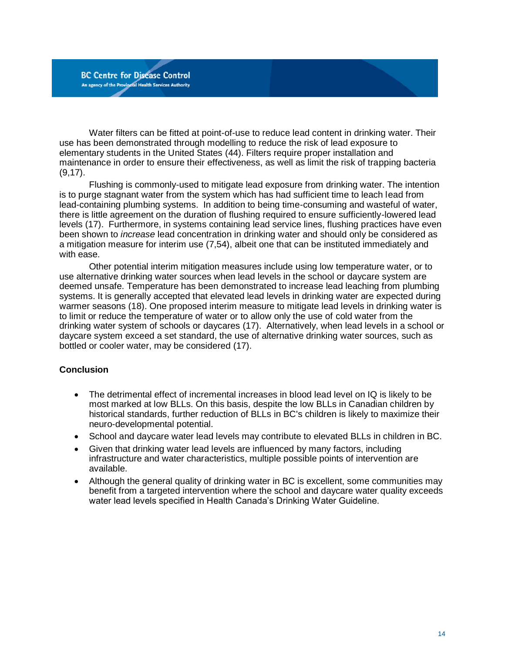Water filters can be fitted at point-of-use to reduce lead content in drinking water. Their use has been demonstrated through modelling to reduce the risk of lead exposure to elementary students in the United States (44). Filters require proper installation and maintenance in order to ensure their effectiveness, as well as limit the risk of trapping bacteria (9,17).

Flushing is commonly-used to mitigate lead exposure from drinking water. The intention is to purge stagnant water from the system which has had sufficient time to leach lead from lead-containing plumbing systems. In addition to being time-consuming and wasteful of water, there is little agreement on the duration of flushing required to ensure sufficiently-lowered lead levels (17). Furthermore, in systems containing lead service lines, flushing practices have even been shown to *increase* lead concentration in drinking water and should only be considered as a mitigation measure for interim use (7,54), albeit one that can be instituted immediately and with ease.

Other potential interim mitigation measures include using low temperature water, or to use alternative drinking water sources when lead levels in the school or daycare system are deemed unsafe. Temperature has been demonstrated to increase lead leaching from plumbing systems. It is generally accepted that elevated lead levels in drinking water are expected during warmer seasons (18). One proposed interim measure to mitigate lead levels in drinking water is to limit or reduce the temperature of water or to allow only the use of cold water from the drinking water system of schools or daycares (17). Alternatively, when lead levels in a school or daycare system exceed a set standard, the use of alternative drinking water sources, such as bottled or cooler water, may be considered (17).

#### **Conclusion**

- The detrimental effect of incremental increases in blood lead level on IQ is likely to be most marked at low BLLs. On this basis, despite the low BLLs in Canadian children by historical standards, further reduction of BLLs in BC's children is likely to maximize their neuro-developmental potential.
- School and daycare water lead levels may contribute to elevated BLLs in children in BC.
- Given that drinking water lead levels are influenced by many factors, including infrastructure and water characteristics, multiple possible points of intervention are available.
- Although the general quality of drinking water in BC is excellent, some communities may benefit from a targeted intervention where the school and daycare water quality exceeds water lead levels specified in Health Canada's Drinking Water Guideline.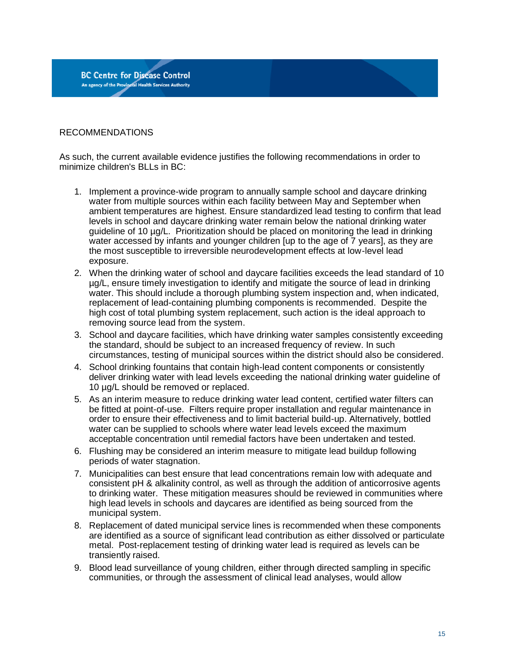### RECOMMENDATIONS

As such, the current available evidence justifies the following recommendations in order to minimize children's BLLs in BC:

- 1. Implement a province-wide program to annually sample school and daycare drinking water from multiple sources within each facility between May and September when ambient temperatures are highest. Ensure standardized lead testing to confirm that lead levels in school and daycare drinking water remain below the national drinking water guideline of 10 µg/L. Prioritization should be placed on monitoring the lead in drinking water accessed by infants and younger children [up to the age of 7 years], as they are the most susceptible to irreversible neurodevelopment effects at low-level lead exposure.
- 2. When the drinking water of school and daycare facilities exceeds the lead standard of 10 µg/L, ensure timely investigation to identify and mitigate the source of lead in drinking water. This should include a thorough plumbing system inspection and, when indicated, replacement of lead-containing plumbing components is recommended. Despite the high cost of total plumbing system replacement, such action is the ideal approach to removing source lead from the system.
- 3. School and daycare facilities, which have drinking water samples consistently exceeding the standard, should be subject to an increased frequency of review. In such circumstances, testing of municipal sources within the district should also be considered.
- 4. School drinking fountains that contain high-lead content components or consistently deliver drinking water with lead levels exceeding the national drinking water guideline of 10 ug/L should be removed or replaced.
- 5. As an interim measure to reduce drinking water lead content, certified water filters can be fitted at point-of-use. Filters require proper installation and regular maintenance in order to ensure their effectiveness and to limit bacterial build-up. Alternatively, bottled water can be supplied to schools where water lead levels exceed the maximum acceptable concentration until remedial factors have been undertaken and tested.
- 6. Flushing may be considered an interim measure to mitigate lead buildup following periods of water stagnation.
- 7. Municipalities can best ensure that lead concentrations remain low with adequate and consistent pH & alkalinity control, as well as through the addition of anticorrosive agents to drinking water. These mitigation measures should be reviewed in communities where high lead levels in schools and daycares are identified as being sourced from the municipal system.
- 8. Replacement of dated municipal service lines is recommended when these components are identified as a source of significant lead contribution as either dissolved or particulate metal. Post-replacement testing of drinking water lead is required as levels can be transiently raised.
- 9. Blood lead surveillance of young children, either through directed sampling in specific communities, or through the assessment of clinical lead analyses, would allow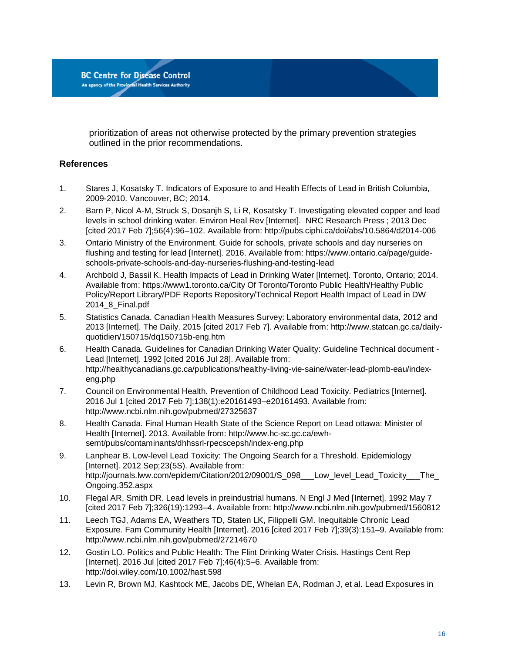prioritization of areas not otherwise protected by the primary prevention strategies outlined in the prior recommendations.

## **References**

**BC Centre for Disease Control** An agency of the Provincial Health Services Authority

- 1. Stares J, Kosatsky T. Indicators of Exposure to and Health Effects of Lead in British Columbia, 2009-2010. Vancouver, BC; 2014.
- 2. Barn P, Nicol A-M, Struck S, Dosanjh S, Li R, Kosatsky T. Investigating elevated copper and lead levels in school drinking water. Environ Heal Rev [Internet]. NRC Research Press ; 2013 Dec [cited 2017 Feb 7];56(4):96–102. Available from: http://pubs.ciphi.ca/doi/abs/10.5864/d2014-006
- 3. Ontario Ministry of the Environment. Guide for schools, private schools and day nurseries on flushing and testing for lead [Internet]. 2016. Available from: https://www.ontario.ca/page/guideschools-private-schools-and-day-nurseries-flushing-and-testing-lead
- 4. Archbold J, Bassil K. Health Impacts of Lead in Drinking Water [Internet]. Toronto, Ontario; 2014. Available from: https://www1.toronto.ca/City Of Toronto/Toronto Public Health/Healthy Public Policy/Report Library/PDF Reports Repository/Technical Report Health Impact of Lead in DW 2014\_8\_Final.pdf
- 5. Statistics Canada. Canadian Health Measures Survey: Laboratory environmental data, 2012 and 2013 [Internet]. The Daily. 2015 [cited 2017 Feb 7]. Available from: http://www.statcan.gc.ca/dailyquotidien/150715/dq150715b-eng.htm
- 6. Health Canada. Guidelines for Canadian Drinking Water Quality: Guideline Technical document Lead [Internet]. 1992 [cited 2016 Jul 28]. Available from: http://healthycanadians.gc.ca/publications/healthy-living-vie-saine/water-lead-plomb-eau/indexeng.php
- 7. Council on Environmental Health. Prevention of Childhood Lead Toxicity. Pediatrics [Internet]. 2016 Jul 1 [cited 2017 Feb 7];138(1):e20161493–e20161493. Available from: http://www.ncbi.nlm.nih.gov/pubmed/27325637
- 8. Health Canada. Final Human Health State of the Science Report on Lead ottawa: Minister of Health [Internet]. 2013. Available from: http://www.hc-sc.gc.ca/ewhsemt/pubs/contaminants/dhhssrl-rpecscepsh/index-eng.php
- 9. Lanphear B. Low-level Lead Toxicity: The Ongoing Search for a Threshold. Epidemiology [Internet]. 2012 Sep;23(5S). Available from: http://journals.lww.com/epidem/Citation/2012/09001/S\_098\_\_\_Low\_level\_Lead\_Toxicity\_\_\_The\_ Ongoing.352.aspx
- 10. Flegal AR, Smith DR. Lead levels in preindustrial humans. N Engl J Med [Internet]. 1992 May 7 [cited 2017 Feb 7];326(19):1293–4. Available from: http://www.ncbi.nlm.nih.gov/pubmed/1560812
- 11. Leech TGJ, Adams EA, Weathers TD, Staten LK, Filippelli GM. Inequitable Chronic Lead Exposure. Fam Community Health [Internet]. 2016 [cited 2017 Feb 7];39(3):151–9. Available from: http://www.ncbi.nlm.nih.gov/pubmed/27214670
- 12. Gostin LO. Politics and Public Health: The Flint Drinking Water Crisis. Hastings Cent Rep [Internet]. 2016 Jul [cited 2017 Feb 7];46(4):5–6. Available from: http://doi.wiley.com/10.1002/hast.598
- 13. Levin R, Brown MJ, Kashtock ME, Jacobs DE, Whelan EA, Rodman J, et al. Lead Exposures in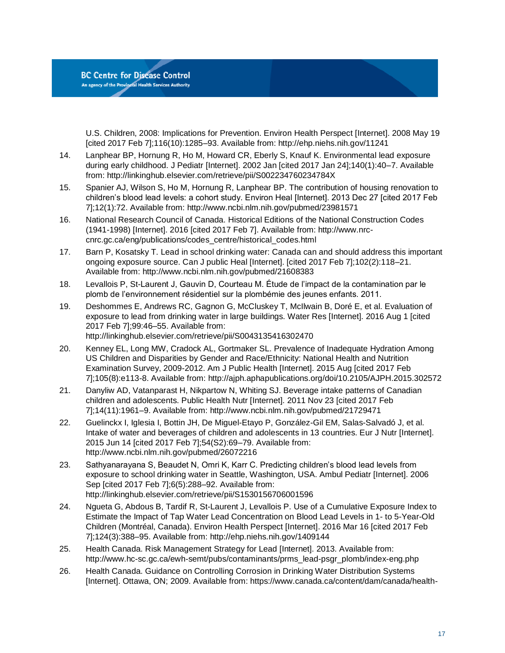U.S. Children, 2008: Implications for Prevention. Environ Health Perspect [Internet]. 2008 May 19 [cited 2017 Feb 7];116(10):1285–93. Available from: http://ehp.niehs.nih.gov/11241

- 14. Lanphear BP, Hornung R, Ho M, Howard CR, Eberly S, Knauf K. Environmental lead exposure during early childhood. J Pediatr [Internet]. 2002 Jan [cited 2017 Jan 24];140(1):40–7. Available from: http://linkinghub.elsevier.com/retrieve/pii/S002234760234784X
- 15. Spanier AJ, Wilson S, Ho M, Hornung R, Lanphear BP. The contribution of housing renovation to children's blood lead levels: a cohort study. Environ Heal [Internet]. 2013 Dec 27 [cited 2017 Feb 7];12(1):72. Available from: http://www.ncbi.nlm.nih.gov/pubmed/23981571
- 16. National Research Council of Canada. Historical Editions of the National Construction Codes (1941-1998) [Internet]. 2016 [cited 2017 Feb 7]. Available from: http://www.nrccnrc.gc.ca/eng/publications/codes\_centre/historical\_codes.html
- 17. Barn P, Kosatsky T. Lead in school drinking water: Canada can and should address this important ongoing exposure source. Can J public Heal [Internet]. [cited 2017 Feb 7];102(2):118–21. Available from: http://www.ncbi.nlm.nih.gov/pubmed/21608383
- 18. Levallois P, St-Laurent J, Gauvin D, Courteau M. Étude de l'impact de la contamination par le plomb de l'environnement résidentiel sur la plombémie des jeunes enfants. 2011.
- 19. Deshommes E, Andrews RC, Gagnon G, McCluskey T, McIlwain B, Doré E, et al. Evaluation of exposure to lead from drinking water in large buildings. Water Res [Internet]. 2016 Aug 1 [cited 2017 Feb 7];99:46–55. Available from: http://linkinghub.elsevier.com/retrieve/pii/S0043135416302470
- 20. Kenney EL, Long MW, Cradock AL, Gortmaker SL. Prevalence of Inadequate Hydration Among US Children and Disparities by Gender and Race/Ethnicity: National Health and Nutrition Examination Survey, 2009-2012. Am J Public Health [Internet]. 2015 Aug [cited 2017 Feb 7];105(8):e113-8. Available from: http://ajph.aphapublications.org/doi/10.2105/AJPH.2015.302572
- 21. Danyliw AD, Vatanparast H, Nikpartow N, Whiting SJ. Beverage intake patterns of Canadian children and adolescents. Public Health Nutr [Internet]. 2011 Nov 23 [cited 2017 Feb 7];14(11):1961–9. Available from: http://www.ncbi.nlm.nih.gov/pubmed/21729471
- 22. Guelinckx I, Iglesia I, Bottin JH, De Miguel-Etayo P, González-Gil EM, Salas-Salvadó J, et al. Intake of water and beverages of children and adolescents in 13 countries. Eur J Nutr [Internet]. 2015 Jun 14 [cited 2017 Feb 7];54(S2):69–79. Available from: http://www.ncbi.nlm.nih.gov/pubmed/26072216
- 23. Sathyanarayana S, Beaudet N, Omri K, Karr C. Predicting children's blood lead levels from exposure to school drinking water in Seattle, Washington, USA. Ambul Pediatr [Internet]. 2006 Sep [cited 2017 Feb 7];6(5):288–92. Available from: http://linkinghub.elsevier.com/retrieve/pii/S1530156706001596
- 24. Ngueta G, Abdous B, Tardif R, St-Laurent J, Levallois P. Use of a Cumulative Exposure Index to Estimate the Impact of Tap Water Lead Concentration on Blood Lead Levels in 1- to 5-Year-Old Children (Montréal, Canada). Environ Health Perspect [Internet]. 2016 Mar 16 [cited 2017 Feb 7];124(3):388–95. Available from: http://ehp.niehs.nih.gov/1409144
- 25. Health Canada. Risk Management Strategy for Lead [Internet]. 2013. Available from: http://www.hc-sc.gc.ca/ewh-semt/pubs/contaminants/prms\_lead-psgr\_plomb/index-eng.php
- 26. Health Canada. Guidance on Controlling Corrosion in Drinking Water Distribution Systems [Internet]. Ottawa, ON; 2009. Available from: https://www.canada.ca/content/dam/canada/health-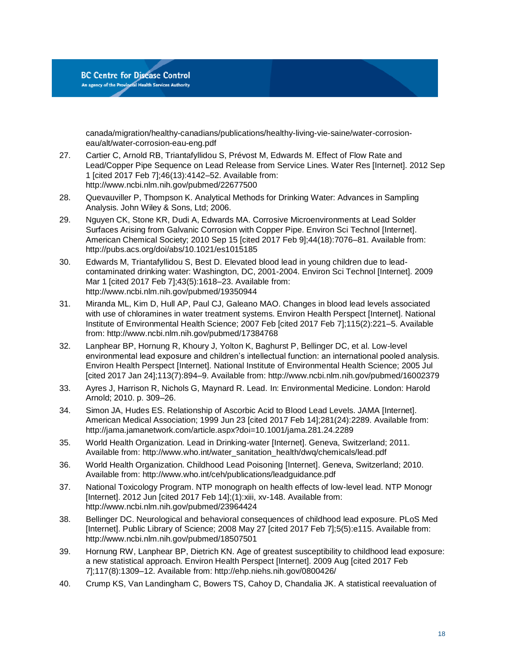canada/migration/healthy-canadians/publications/healthy-living-vie-saine/water-corrosioneau/alt/water-corrosion-eau-eng.pdf

- 27. Cartier C, Arnold RB, Triantafyllidou S, Prévost M, Edwards M. Effect of Flow Rate and Lead/Copper Pipe Sequence on Lead Release from Service Lines. Water Res [Internet]. 2012 Sep 1 [cited 2017 Feb 7];46(13):4142–52. Available from: http://www.ncbi.nlm.nih.gov/pubmed/22677500
- 28. Quevauviller P, Thompson K. Analytical Methods for Drinking Water: Advances in Sampling Analysis. John Wiley & Sons, Ltd; 2006.
- 29. Nguyen CK, Stone KR, Dudi A, Edwards MA. Corrosive Microenvironments at Lead Solder Surfaces Arising from Galvanic Corrosion with Copper Pipe. Environ Sci Technol [Internet]. American Chemical Society; 2010 Sep 15 [cited 2017 Feb 9];44(18):7076–81. Available from: http://pubs.acs.org/doi/abs/10.1021/es1015185
- 30. Edwards M, Triantafyllidou S, Best D. Elevated blood lead in young children due to leadcontaminated drinking water: Washington, DC, 2001-2004. Environ Sci Technol [Internet]. 2009 Mar 1 [cited 2017 Feb 7];43(5):1618–23. Available from: http://www.ncbi.nlm.nih.gov/pubmed/19350944
- 31. Miranda ML, Kim D, Hull AP, Paul CJ, Galeano MAO. Changes in blood lead levels associated with use of chloramines in water treatment systems. Environ Health Perspect [Internet]. National Institute of Environmental Health Science; 2007 Feb [cited 2017 Feb 7];115(2):221–5. Available from: http://www.ncbi.nlm.nih.gov/pubmed/17384768
- 32. Lanphear BP, Hornung R, Khoury J, Yolton K, Baghurst P, Bellinger DC, et al. Low-level environmental lead exposure and children's intellectual function: an international pooled analysis. Environ Health Perspect [Internet]. National Institute of Environmental Health Science; 2005 Jul [cited 2017 Jan 24];113(7):894–9. Available from: http://www.ncbi.nlm.nih.gov/pubmed/16002379
- 33. Ayres J, Harrison R, Nichols G, Maynard R. Lead. In: Environmental Medicine. London: Harold Arnold; 2010. p. 309–26.
- 34. Simon JA, Hudes ES. Relationship of Ascorbic Acid to Blood Lead Levels. JAMA [Internet]. American Medical Association; 1999 Jun 23 [cited 2017 Feb 14];281(24):2289. Available from: http://jama.jamanetwork.com/article.aspx?doi=10.1001/jama.281.24.2289
- 35. World Health Organization. Lead in Drinking-water [Internet]. Geneva, Switzerland; 2011. Available from: http://www.who.int/water\_sanitation\_health/dwq/chemicals/lead.pdf
- 36. World Health Organization. Childhood Lead Poisoning [Internet]. Geneva, Switzerland; 2010. Available from: http://www.who.int/ceh/publications/leadguidance.pdf
- 37. National Toxicology Program. NTP monograph on health effects of low-level lead. NTP Monogr [Internet]. 2012 Jun [cited 2017 Feb 14];(1):xiii, xv-148. Available from: http://www.ncbi.nlm.nih.gov/pubmed/23964424
- 38. Bellinger DC. Neurological and behavioral consequences of childhood lead exposure. PLoS Med [Internet]. Public Library of Science; 2008 May 27 [cited 2017 Feb 7];5(5):e115. Available from: http://www.ncbi.nlm.nih.gov/pubmed/18507501
- 39. Hornung RW, Lanphear BP, Dietrich KN. Age of greatest susceptibility to childhood lead exposure: a new statistical approach. Environ Health Perspect [Internet]. 2009 Aug [cited 2017 Feb 7];117(8):1309–12. Available from: http://ehp.niehs.nih.gov/0800426/
- 40. Crump KS, Van Landingham C, Bowers TS, Cahoy D, Chandalia JK. A statistical reevaluation of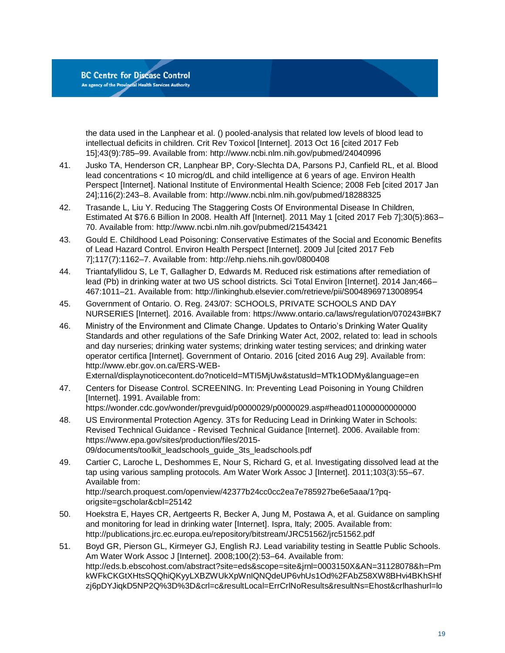the data used in the Lanphear et al. () pooled-analysis that related low levels of blood lead to intellectual deficits in children. Crit Rev Toxicol [Internet]. 2013 Oct 16 [cited 2017 Feb 15];43(9):785–99. Available from: http://www.ncbi.nlm.nih.gov/pubmed/24040996

- 41. Jusko TA, Henderson CR, Lanphear BP, Cory-Slechta DA, Parsons PJ, Canfield RL, et al. Blood lead concentrations < 10 microg/dL and child intelligence at 6 years of age. Environ Health Perspect [Internet]. National Institute of Environmental Health Science; 2008 Feb [cited 2017 Jan 24];116(2):243–8. Available from: http://www.ncbi.nlm.nih.gov/pubmed/18288325
- 42. Trasande L, Liu Y. Reducing The Staggering Costs Of Environmental Disease In Children, Estimated At \$76.6 Billion In 2008. Health Aff [Internet]. 2011 May 1 [cited 2017 Feb 7];30(5):863– 70. Available from: http://www.ncbi.nlm.nih.gov/pubmed/21543421
- 43. Gould E. Childhood Lead Poisoning: Conservative Estimates of the Social and Economic Benefits of Lead Hazard Control. Environ Health Perspect [Internet]. 2009 Jul [cited 2017 Feb 7];117(7):1162–7. Available from: http://ehp.niehs.nih.gov/0800408
- 44. Triantafyllidou S, Le T, Gallagher D, Edwards M. Reduced risk estimations after remediation of lead (Pb) in drinking water at two US school districts. Sci Total Environ [Internet]. 2014 Jan;466– 467:1011–21. Available from: http://linkinghub.elsevier.com/retrieve/pii/S0048969713008954
- 45. Government of Ontario. O. Reg. 243/07: SCHOOLS, PRIVATE SCHOOLS AND DAY NURSERIES [Internet]. 2016. Available from: https://www.ontario.ca/laws/regulation/070243#BK7
- 46. Ministry of the Environment and Climate Change. Updates to Ontario's Drinking Water Quality Standards and other regulations of the Safe Drinking Water Act, 2002, related to: lead in schools and day nurseries; drinking water systems; drinking water testing services; and drinking water operator certifica [Internet]. Government of Ontario. 2016 [cited 2016 Aug 29]. Available from: http://www.ebr.gov.on.ca/ERS-WEB-

External/displaynoticecontent.do?noticeId=MTI5MjUw&statusId=MTk1ODMy&language=en

47. Centers for Disease Control. SCREENING. In: Preventing Lead Poisoning in Young Children [Internet]. 1991. Available from:

https://wonder.cdc.gov/wonder/prevguid/p0000029/p0000029.asp#head011000000000000

- 48. US Environmental Protection Agency. 3Ts for Reducing Lead in Drinking Water in Schools: Revised Technical Guidance - Revised Technical Guidance [Internet]. 2006. Available from: https://www.epa.gov/sites/production/files/2015- 09/documents/toolkit\_leadschools\_guide\_3ts\_leadschools.pdf
- 49. Cartier C, Laroche L, Deshommes E, Nour S, Richard G, et al. Investigating dissolved lead at the tap using various sampling protocols. Am Water Work Assoc J [Internet]. 2011;103(3):55–67. Available from: http://search.proquest.com/openview/42377b24cc0cc2ea7e785927be6e5aaa/1?pqorigsite=gscholar&cbl=25142
- 50. Hoekstra E, Hayes CR, Aertgeerts R, Becker A, Jung M, Postawa A, et al. Guidance on sampling and monitoring for lead in drinking water [Internet]. Ispra, Italy; 2005. Available from: http://publications.jrc.ec.europa.eu/repository/bitstream/JRC51562/jrc51562.pdf
- 51. Boyd GR, Pierson GL, Kirmeyer GJ, English RJ. Lead variability testing in Seattle Public Schools. Am Water Work Assoc J [Internet]. 2008;100(2):53–64. Available from: http://eds.b.ebscohost.com/abstract?site=eds&scope=site&jrnl=0003150X&AN=31128078&h=Pm kWFkCKGtXHtsSQQhiQKyyLXBZWUkXpWnIQNQdeUP6vhUs1Od%2FAbZ58XW8BHvi4BKhSHf zj6pDYJiqkD5NP2Q%3D%3D&crl=c&resultLocal=ErrCrlNoResults&resultNs=Ehost&crlhashurl=lo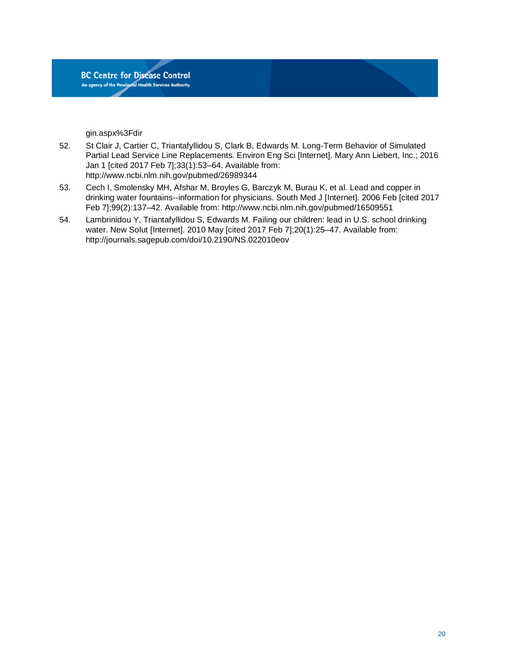gin.aspx%3Fdir

- 52. St Clair J, Cartier C, Triantafyllidou S, Clark B, Edwards M. Long-Term Behavior of Simulated Partial Lead Service Line Replacements. Environ Eng Sci [Internet]. Mary Ann Liebert, Inc.; 2016 Jan 1 [cited 2017 Feb 7];33(1):53–64. Available from: http://www.ncbi.nlm.nih.gov/pubmed/26989344
- 53. Cech I, Smolensky MH, Afshar M, Broyles G, Barczyk M, Burau K, et al. Lead and copper in drinking water fountains--information for physicians. South Med J [Internet]. 2006 Feb [cited 2017 Feb 7];99(2):137–42. Available from: http://www.ncbi.nlm.nih.gov/pubmed/16509551
- 54. Lambrinidou Y, Triantafyllidou S, Edwards M. Failing our children: lead in U.S. school drinking water. New Solut [Internet]. 2010 May [cited 2017 Feb 7];20(1):25–47. Available from: http://journals.sagepub.com/doi/10.2190/NS.022010eov